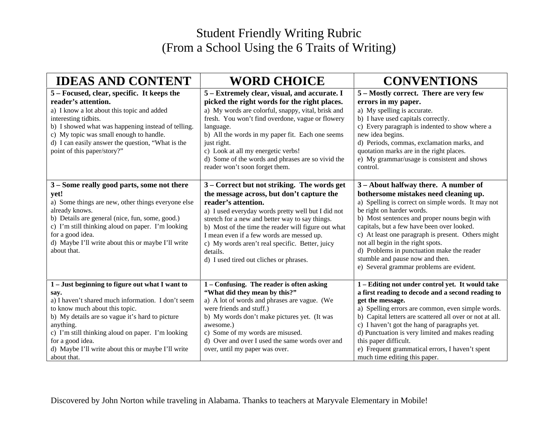## Student Friendly Writing Rubric (From a School Using the 6 Traits of Writing)

| <b>IDEAS AND CONTENT</b>                                                                                                                                                                                                                                                                                                                                      | <b>WORD CHOICE</b>                                                                                                                                                                                                                                                                                                                                                                                                                     | <b>CONVENTIONS</b>                                                                                                                                                                                                                                                                                                                                                                                                                                                                      |
|---------------------------------------------------------------------------------------------------------------------------------------------------------------------------------------------------------------------------------------------------------------------------------------------------------------------------------------------------------------|----------------------------------------------------------------------------------------------------------------------------------------------------------------------------------------------------------------------------------------------------------------------------------------------------------------------------------------------------------------------------------------------------------------------------------------|-----------------------------------------------------------------------------------------------------------------------------------------------------------------------------------------------------------------------------------------------------------------------------------------------------------------------------------------------------------------------------------------------------------------------------------------------------------------------------------------|
| 5 – Focused, clear, specific. It keeps the<br>reader's attention.<br>a) I know a lot about this topic and added<br>interesting tidbits.<br>b) I showed what was happening instead of telling.<br>c) My topic was small enough to handle.<br>d) I can easily answer the question, "What is the<br>point of this paper/story?"                                  | 5 – Extremely clear, visual, and accurate. I<br>picked the right words for the right places.<br>a) My words are colorful, snappy, vital, brisk and<br>fresh. You won't find overdone, vague or flowery<br>language.<br>b) All the words in my paper fit. Each one seems<br>just right.<br>c) Look at all my energetic verbs!<br>d) Some of the words and phrases are so vivid the<br>reader won't soon forget them.                    | 5 – Mostly correct. There are very few<br>errors in my paper.<br>a) My spelling is accurate.<br>b) I have used capitals correctly.<br>c) Every paragraph is indented to show where a<br>new idea begins.<br>d) Periods, commas, exclamation marks, and<br>quotation marks are in the right places.<br>e) My grammar/usage is consistent and shows<br>control.                                                                                                                           |
| 3 – Some really good parts, some not there<br>yet!<br>a) Some things are new, other things everyone else<br>already knows.<br>b) Details are general (nice, fun, some, good.)<br>c) I'm still thinking aloud on paper. I'm looking<br>for a good idea.<br>d) Maybe I'll write about this or maybe I'll write<br>about that.                                   | 3 – Correct but not striking. The words get<br>the message across, but don't capture the<br>reader's attention.<br>a) I used everyday words pretty well but I did not<br>stretch for a new and better way to say things.<br>b) Most of the time the reader will figure out what<br>I mean even if a few words are messed up.<br>c) My words aren't real specific. Better, juicy<br>details.<br>d) I used tired out cliches or phrases. | 3 – About halfway there. A number of<br>bothersome mistakes need cleaning up.<br>a) Spelling is correct on simple words. It may not<br>be right on harder words.<br>b) Most sentences and proper nouns begin with<br>capitals, but a few have been over looked.<br>c) At least one paragraph is present. Others might<br>not all begin in the right spots.<br>d) Problems in punctuation make the reader<br>stumble and pause now and then.<br>e) Several grammar problems are evident. |
| 1 - Just beginning to figure out what I want to<br>say.<br>a) I haven't shared much information. I don't seem<br>to know much about this topic.<br>b) My details are so vague it's hard to picture<br>anything.<br>c) I'm still thinking aloud on paper. I'm looking<br>for a good idea.<br>d) Maybe I'll write about this or maybe I'll write<br>about that. | 1 - Confusing. The reader is often asking<br>"What did they mean by this?"<br>a) A lot of words and phrases are vague. (We<br>were friends and stuff.)<br>b) My words don't make pictures yet. (It was<br>awesome.)<br>c) Some of my words are misused.<br>d) Over and over I used the same words over and<br>over, until my paper was over.                                                                                           | 1 - Editing not under control yet. It would take<br>a first reading to decode and a second reading to<br>get the message.<br>a) Spelling errors are common, even simple words.<br>b) Capital letters are scattered all over or not at all.<br>c) I haven't got the hang of paragraphs yet.<br>d) Punctuation is very limited and makes reading<br>this paper difficult.<br>e) Frequent grammatical errors, I haven't spent<br>much time editing this paper.                             |